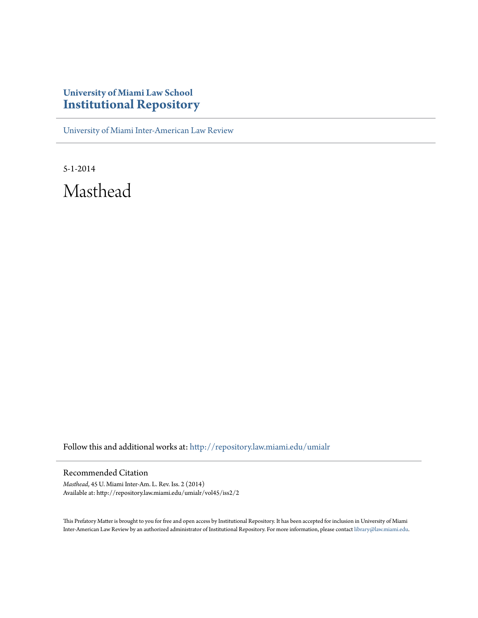## **University of Miami Law School [Institutional Repository](http://repository.law.miami.edu?utm_source=repository.law.miami.edu%2Fumialr%2Fvol45%2Fiss2%2F2&utm_medium=PDF&utm_campaign=PDFCoverPages)**

[University of Miami Inter-American Law Review](http://repository.law.miami.edu/umialr?utm_source=repository.law.miami.edu%2Fumialr%2Fvol45%2Fiss2%2F2&utm_medium=PDF&utm_campaign=PDFCoverPages)

5-1-2014 Masthead

Follow this and additional works at: [http://repository.law.miami.edu/umialr](http://repository.law.miami.edu/umialr?utm_source=repository.law.miami.edu%2Fumialr%2Fvol45%2Fiss2%2F2&utm_medium=PDF&utm_campaign=PDFCoverPages)

## Recommended Citation

*Masthead*, 45 U. Miami Inter-Am. L. Rev. Iss. 2 (2014) Available at: http://repository.law.miami.edu/umialr/vol45/iss2/2

This Prefatory Matter is brought to you for free and open access by Institutional Repository. It has been accepted for inclusion in University of Miami Inter-American Law Review by an authorized administrator of Institutional Repository. For more information, please contact [library@law.miami.edu](mailto:library@law.miami.edu).